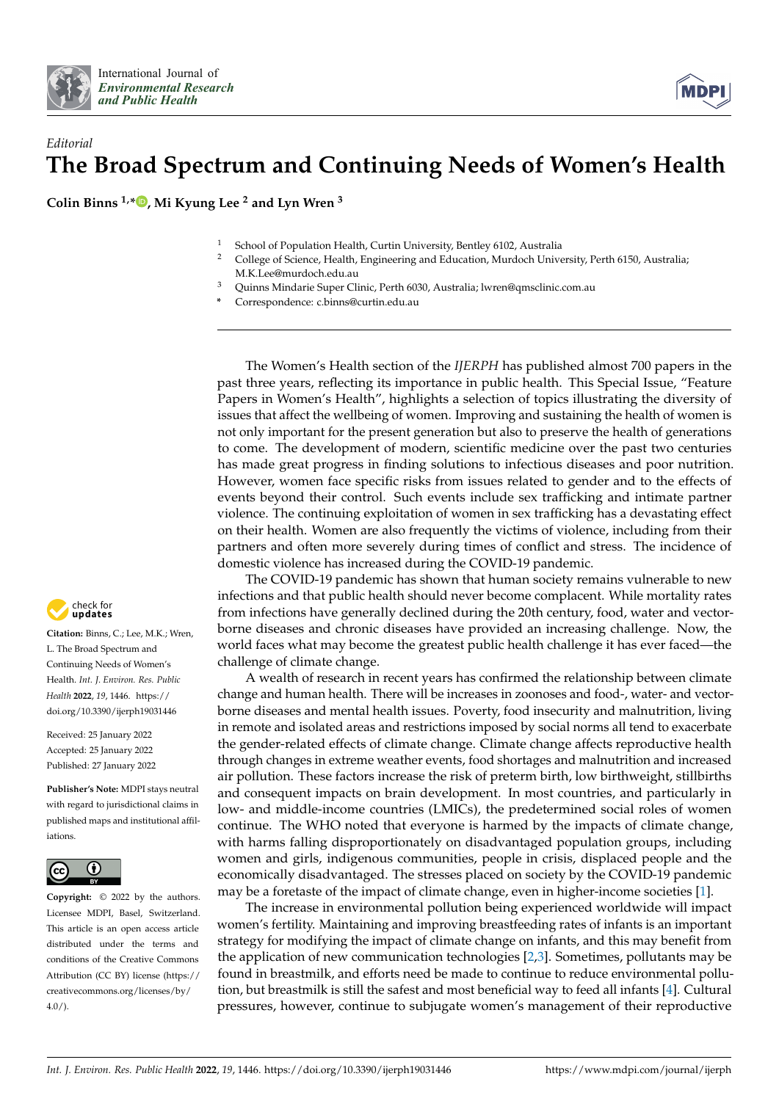



## *Editorial* **The Broad Spectrum and Continuing Needs of Women's Health**

**Colin Binns 1,\* [,](https://orcid.org/0000-0002-6220-3933) Mi Kyung Lee <sup>2</sup> and Lyn Wren <sup>3</sup>**

- <sup>1</sup> School of Population Health, Curtin University, Bentley 6102, Australia<br><sup>2</sup> College of Science, Health, Engineering and Education, Murdoch Unive
	- <sup>2</sup> College of Science, Health, Engineering and Education, Murdoch University, Perth 6150, Australia; M.K.Lee@murdoch.edu.au
- <sup>3</sup> Quinns Mindarie Super Clinic, Perth 6030, Australia; lwren@qmsclinic.com.au
- **\*** Correspondence: c.binns@curtin.edu.au

The Women's Health section of the *IJERPH* has published almost 700 papers in the past three years, reflecting its importance in public health. This Special Issue, "Feature Papers in Women's Health", highlights a selection of topics illustrating the diversity of issues that affect the wellbeing of women. Improving and sustaining the health of women is not only important for the present generation but also to preserve the health of generations to come. The development of modern, scientific medicine over the past two centuries has made great progress in finding solutions to infectious diseases and poor nutrition. However, women face specific risks from issues related to gender and to the effects of events beyond their control. Such events include sex trafficking and intimate partner violence. The continuing exploitation of women in sex trafficking has a devastating effect on their health. Women are also frequently the victims of violence, including from their partners and often more severely during times of conflict and stress. The incidence of domestic violence has increased during the COVID-19 pandemic.

The COVID-19 pandemic has shown that human society remains vulnerable to new infections and that public health should never become complacent. While mortality rates from infections have generally declined during the 20th century, food, water and vectorborne diseases and chronic diseases have provided an increasing challenge. Now, the world faces what may become the greatest public health challenge it has ever faced—the challenge of climate change.

A wealth of research in recent years has confirmed the relationship between climate change and human health. There will be increases in zoonoses and food-, water- and vectorborne diseases and mental health issues. Poverty, food insecurity and malnutrition, living in remote and isolated areas and restrictions imposed by social norms all tend to exacerbate the gender-related effects of climate change. Climate change affects reproductive health through changes in extreme weather events, food shortages and malnutrition and increased air pollution. These factors increase the risk of preterm birth, low birthweight, stillbirths and consequent impacts on brain development. In most countries, and particularly in low- and middle-income countries (LMICs), the predetermined social roles of women continue. The WHO noted that everyone is harmed by the impacts of climate change, with harms falling disproportionately on disadvantaged population groups, including women and girls, indigenous communities, people in crisis, displaced people and the economically disadvantaged. The stresses placed on society by the COVID-19 pandemic may be a foretaste of the impact of climate change, even in higher-income societies [\[1\]](#page-2-0).

The increase in environmental pollution being experienced worldwide will impact women's fertility. Maintaining and improving breastfeeding rates of infants is an important strategy for modifying the impact of climate change on infants, and this may benefit from the application of new communication technologies [\[2](#page-2-1)[,3\]](#page-2-2). Sometimes, pollutants may be found in breastmilk, and efforts need be made to continue to reduce environmental pollution, but breastmilk is still the safest and most beneficial way to feed all infants [\[4\]](#page-2-3). Cultural pressures, however, continue to subjugate women's management of their reproductive



**Citation:** Binns, C.; Lee, M.K.; Wren, L. The Broad Spectrum and Continuing Needs of Women's Health. *Int. J. Environ. Res. Public Health* **2022**, *19*, 1446. [https://](https://doi.org/10.3390/ijerph19031446) [doi.org/10.3390/ijerph19031446](https://doi.org/10.3390/ijerph19031446)

Received: 25 January 2022 Accepted: 25 January 2022 Published: 27 January 2022

**Publisher's Note:** MDPI stays neutral with regard to jurisdictional claims in published maps and institutional affiliations.



**Copyright:** © 2022 by the authors. Licensee MDPI, Basel, Switzerland. This article is an open access article distributed under the terms and conditions of the Creative Commons Attribution (CC BY) license [\(https://](https://creativecommons.org/licenses/by/4.0/) [creativecommons.org/licenses/by/](https://creativecommons.org/licenses/by/4.0/)  $4.0/$ ).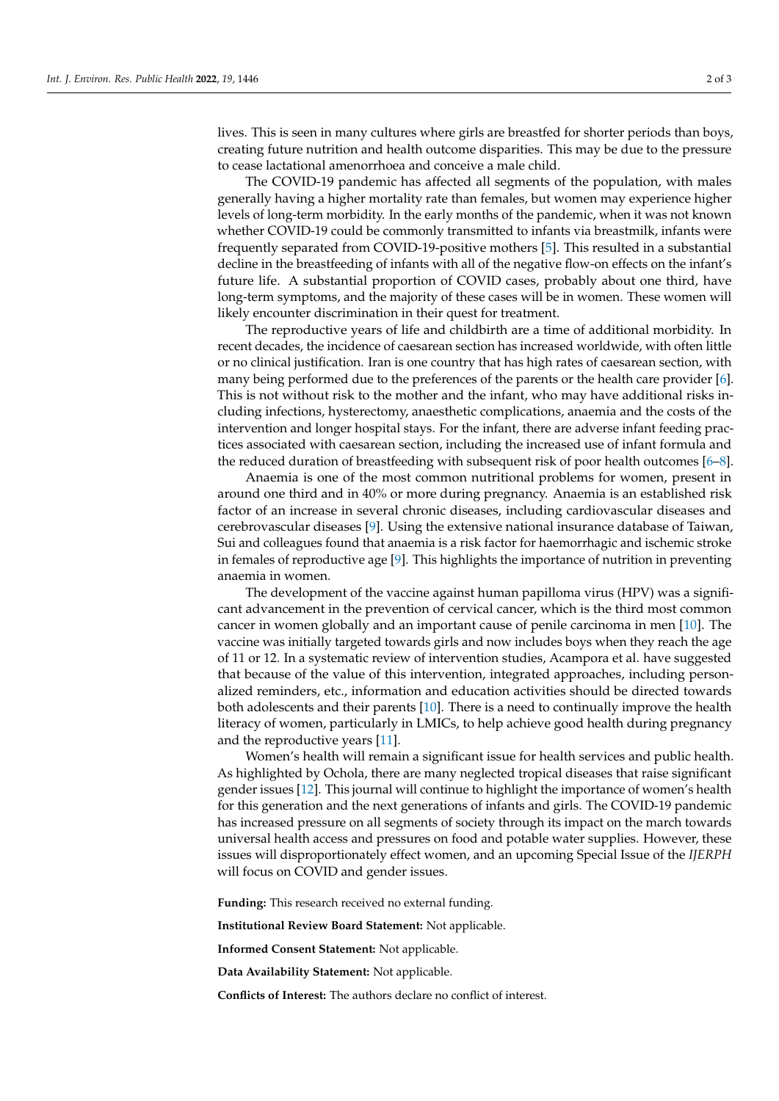lives. This is seen in many cultures where girls are breastfed for shorter periods than boys, creating future nutrition and health outcome disparities. This may be due to the pressure to cease lactational amenorrhoea and conceive a male child.

The COVID-19 pandemic has affected all segments of the population, with males generally having a higher mortality rate than females, but women may experience higher levels of long-term morbidity. In the early months of the pandemic, when it was not known whether COVID-19 could be commonly transmitted to infants via breastmilk, infants were frequently separated from COVID-19-positive mothers [\[5\]](#page-2-4). This resulted in a substantial decline in the breastfeeding of infants with all of the negative flow-on effects on the infant's future life. A substantial proportion of COVID cases, probably about one third, have long-term symptoms, and the majority of these cases will be in women. These women will likely encounter discrimination in their quest for treatment.

The reproductive years of life and childbirth are a time of additional morbidity. In recent decades, the incidence of caesarean section has increased worldwide, with often little or no clinical justification. Iran is one country that has high rates of caesarean section, with many being performed due to the preferences of the parents or the health care provider [\[6\]](#page-2-5). This is not without risk to the mother and the infant, who may have additional risks including infections, hysterectomy, anaesthetic complications, anaemia and the costs of the intervention and longer hospital stays. For the infant, there are adverse infant feeding practices associated with caesarean section, including the increased use of infant formula and the reduced duration of breastfeeding with subsequent risk of poor health outcomes [\[6](#page-2-5)[–8\]](#page-2-6).

Anaemia is one of the most common nutritional problems for women, present in around one third and in 40% or more during pregnancy. Anaemia is an established risk factor of an increase in several chronic diseases, including cardiovascular diseases and cerebrovascular diseases [\[9\]](#page-2-7). Using the extensive national insurance database of Taiwan, Sui and colleagues found that anaemia is a risk factor for haemorrhagic and ischemic stroke in females of reproductive age [\[9\]](#page-2-7). This highlights the importance of nutrition in preventing anaemia in women.

The development of the vaccine against human papilloma virus (HPV) was a significant advancement in the prevention of cervical cancer, which is the third most common cancer in women globally and an important cause of penile carcinoma in men [\[10\]](#page-2-8). The vaccine was initially targeted towards girls and now includes boys when they reach the age of 11 or 12. In a systematic review of intervention studies, Acampora et al. have suggested that because of the value of this intervention, integrated approaches, including personalized reminders, etc., information and education activities should be directed towards both adolescents and their parents [\[10\]](#page-2-8). There is a need to continually improve the health literacy of women, particularly in LMICs, to help achieve good health during pregnancy and the reproductive years [\[11\]](#page-2-9).

Women's health will remain a significant issue for health services and public health. As highlighted by Ochola, there are many neglected tropical diseases that raise significant gender issues [\[12\]](#page-2-10). This journal will continue to highlight the importance of women's health for this generation and the next generations of infants and girls. The COVID-19 pandemic has increased pressure on all segments of society through its impact on the march towards universal health access and pressures on food and potable water supplies. However, these issues will disproportionately effect women, and an upcoming Special Issue of the *IJERPH* will focus on COVID and gender issues.

**Funding:** This research received no external funding.

**Institutional Review Board Statement:** Not applicable.

**Informed Consent Statement:** Not applicable.

**Data Availability Statement:** Not applicable.

**Conflicts of Interest:** The authors declare no conflict of interest.